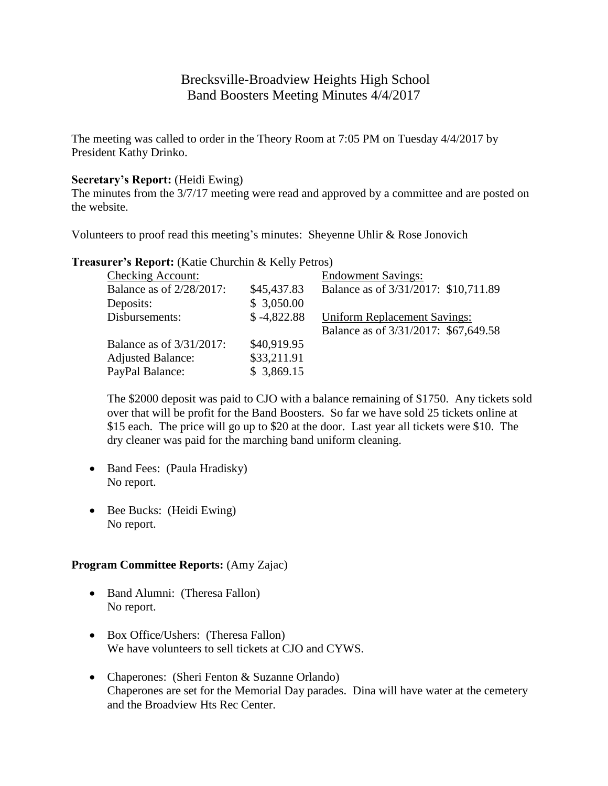# Brecksville-Broadview Heights High School Band Boosters Meeting Minutes 4/4/2017

The meeting was called to order in the Theory Room at 7:05 PM on Tuesday 4/4/2017 by President Kathy Drinko.

### **Secretary's Report:** (Heidi Ewing)

The minutes from the 3/7/17 meeting were read and approved by a committee and are posted on the website.

Volunteers to proof read this meeting's minutes: Sheyenne Uhlir & Rose Jonovich

| <b>Checking Account:</b> |               | <b>Endowment Savings:</b>            |
|--------------------------|---------------|--------------------------------------|
| Balance as of 2/28/2017: | \$45,437.83   | Balance as of 3/31/2017: \$10,711.89 |
| Deposits:                | \$3,050.00    |                                      |
| Disbursements:           | $$ -4,822.88$ | <b>Uniform Replacement Savings:</b>  |
|                          |               | Balance as of 3/31/2017: \$67,649.58 |
| Balance as of 3/31/2017: | \$40,919.95   |                                      |
| <b>Adjusted Balance:</b> | \$33,211.91   |                                      |
| PayPal Balance:          | \$3,869.15    |                                      |
|                          |               |                                      |

**Treasurer's Report:** (Katie Churchin & Kelly Petros)

The \$2000 deposit was paid to CJO with a balance remaining of \$1750. Any tickets sold over that will be profit for the Band Boosters. So far we have sold 25 tickets online at \$15 each. The price will go up to \$20 at the door. Last year all tickets were \$10. The dry cleaner was paid for the marching band uniform cleaning.

- Band Fees: (Paula Hradisky) No report.
- Bee Bucks: (Heidi Ewing) No report.

## **Program Committee Reports:** (Amy Zajac)

- Band Alumni: (Theresa Fallon) No report.
- Box Office/Ushers: (Theresa Fallon) We have volunteers to sell tickets at CJO and CYWS.
- Chaperones: (Sheri Fenton & Suzanne Orlando) Chaperones are set for the Memorial Day parades. Dina will have water at the cemetery and the Broadview Hts Rec Center.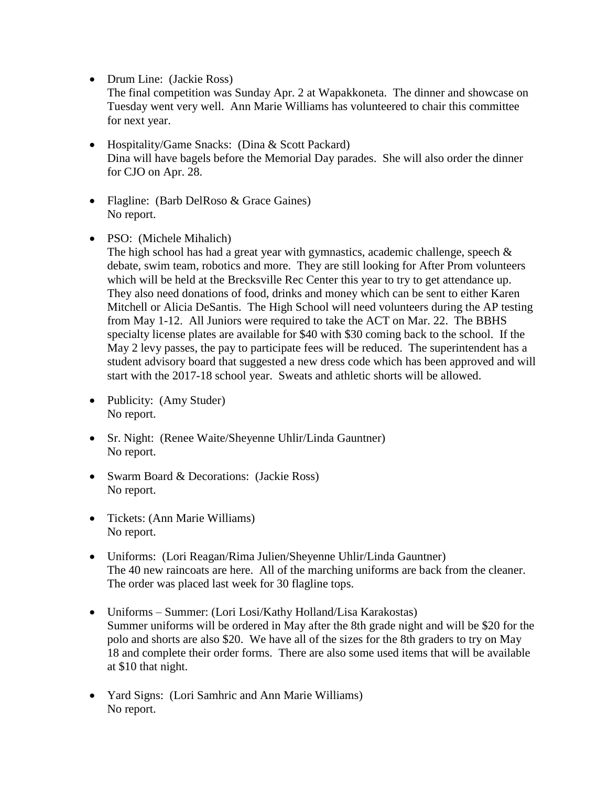• Drum Line: (Jackie Ross)

The final competition was Sunday Apr. 2 at Wapakkoneta. The dinner and showcase on Tuesday went very well. Ann Marie Williams has volunteered to chair this committee for next year.

- Hospitality/Game Snacks: (Dina & Scott Packard) Dina will have bagels before the Memorial Day parades. She will also order the dinner for CJO on Apr. 28.
- Flagline: (Barb DelRoso & Grace Gaines) No report.
- PSO: (Michele Mihalich)

The high school has had a great year with gymnastics, academic challenge, speech  $\&$ debate, swim team, robotics and more. They are still looking for After Prom volunteers which will be held at the Brecksville Rec Center this year to try to get attendance up. They also need donations of food, drinks and money which can be sent to either Karen Mitchell or Alicia DeSantis. The High School will need volunteers during the AP testing from May 1-12. All Juniors were required to take the ACT on Mar. 22. The BBHS specialty license plates are available for \$40 with \$30 coming back to the school. If the May 2 levy passes, the pay to participate fees will be reduced. The superintendent has a student advisory board that suggested a new dress code which has been approved and will start with the 2017-18 school year. Sweats and athletic shorts will be allowed.

- Publicity: (Amy Studer) No report.
- Sr. Night: (Renee Waite/Sheyenne Uhlir/Linda Gauntner) No report.
- Swarm Board & Decorations: (Jackie Ross) No report.
- Tickets: (Ann Marie Williams) No report.
- Uniforms: (Lori Reagan/Rima Julien/Sheyenne Uhlir/Linda Gauntner) The 40 new raincoats are here. All of the marching uniforms are back from the cleaner. The order was placed last week for 30 flagline tops.
- Uniforms Summer: (Lori Losi/Kathy Holland/Lisa Karakostas) Summer uniforms will be ordered in May after the 8th grade night and will be \$20 for the polo and shorts are also \$20. We have all of the sizes for the 8th graders to try on May 18 and complete their order forms. There are also some used items that will be available at \$10 that night.
- Yard Signs: (Lori Samhric and Ann Marie Williams) No report.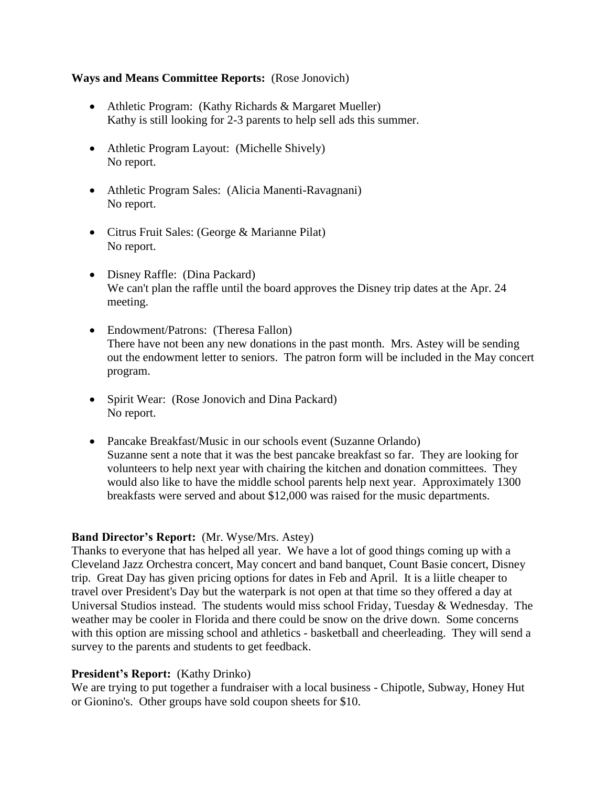#### **Ways and Means Committee Reports:** (Rose Jonovich)

- Athletic Program: (Kathy Richards & Margaret Mueller) Kathy is still looking for 2-3 parents to help sell ads this summer.
- Athletic Program Layout: (Michelle Shively) No report.
- Athletic Program Sales: (Alicia Manenti-Ravagnani) No report.
- Citrus Fruit Sales: (George & Marianne Pilat) No report.
- Disney Raffle: (Dina Packard) We can't plan the raffle until the board approves the Disney trip dates at the Apr. 24 meeting.
- Endowment/Patrons: (Theresa Fallon) There have not been any new donations in the past month. Mrs. Astey will be sending out the endowment letter to seniors. The patron form will be included in the May concert program.
- Spirit Wear: (Rose Jonovich and Dina Packard) No report.
- Pancake Breakfast/Music in our schools event (Suzanne Orlando) Suzanne sent a note that it was the best pancake breakfast so far. They are looking for volunteers to help next year with chairing the kitchen and donation committees. They would also like to have the middle school parents help next year. Approximately 1300 breakfasts were served and about \$12,000 was raised for the music departments.

## **Band Director's Report:** (Mr. Wyse/Mrs. Astey)

Thanks to everyone that has helped all year. We have a lot of good things coming up with a Cleveland Jazz Orchestra concert, May concert and band banquet, Count Basie concert, Disney trip. Great Day has given pricing options for dates in Feb and April. It is a liitle cheaper to travel over President's Day but the waterpark is not open at that time so they offered a day at Universal Studios instead. The students would miss school Friday, Tuesday & Wednesday. The weather may be cooler in Florida and there could be snow on the drive down. Some concerns with this option are missing school and athletics - basketball and cheerleading. They will send a survey to the parents and students to get feedback.

## **President's Report:** (Kathy Drinko)

We are trying to put together a fundraiser with a local business - Chipotle, Subway, Honey Hut or Gionino's. Other groups have sold coupon sheets for \$10.